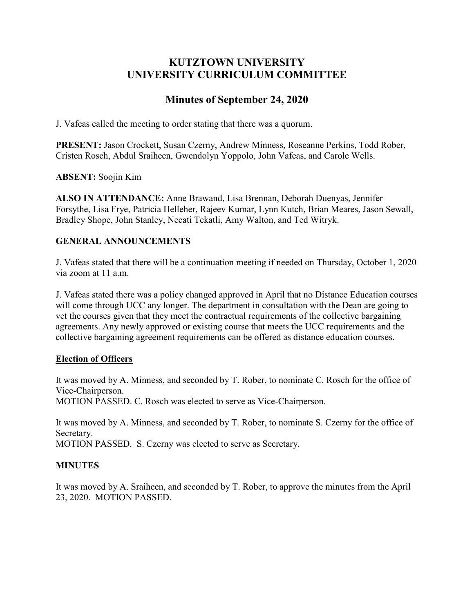# **KUTZTOWN UNIVERSITY UNIVERSITY CURRICULUM COMMITTEE**

# **Minutes of September 24, 2020**

J. Vafeas called the meeting to order stating that there was a quorum.

**PRESENT:** Jason Crockett, Susan Czerny, Andrew Minness, Roseanne Perkins, Todd Rober, Cristen Rosch, Abdul Sraiheen, Gwendolyn Yoppolo, John Vafeas, and Carole Wells.

**ABSENT:** Soojin Kim

**ALSO IN ATTENDANCE:** Anne Brawand, Lisa Brennan, Deborah Duenyas, Jennifer Forsythe, Lisa Frye, Patricia Helleher, Rajeev Kumar, Lynn Kutch, Brian Meares, Jason Sewall, Bradley Shope, John Stanley, Necati Tekatli, Amy Walton, and Ted Witryk.

# **GENERAL ANNOUNCEMENTS**

J. Vafeas stated that there will be a continuation meeting if needed on Thursday, October 1, 2020 via zoom at 11 a.m.

J. Vafeas stated there was a policy changed approved in April that no Distance Education courses will come through UCC any longer. The department in consultation with the Dean are going to vet the courses given that they meet the contractual requirements of the collective bargaining agreements. Any newly approved or existing course that meets the UCC requirements and the collective bargaining agreement requirements can be offered as distance education courses.

## **Election of Officers**

It was moved by A. Minness, and seconded by T. Rober, to nominate C. Rosch for the office of Vice-Chairperson.

MOTION PASSED. C. Rosch was elected to serve as Vice-Chairperson.

It was moved by A. Minness, and seconded by T. Rober, to nominate S. Czerny for the office of Secretary.

MOTION PASSED. S. Czerny was elected to serve as Secretary.

## **MINUTES**

It was moved by A. Sraiheen, and seconded by T. Rober, to approve the minutes from the April 23, 2020. MOTION PASSED.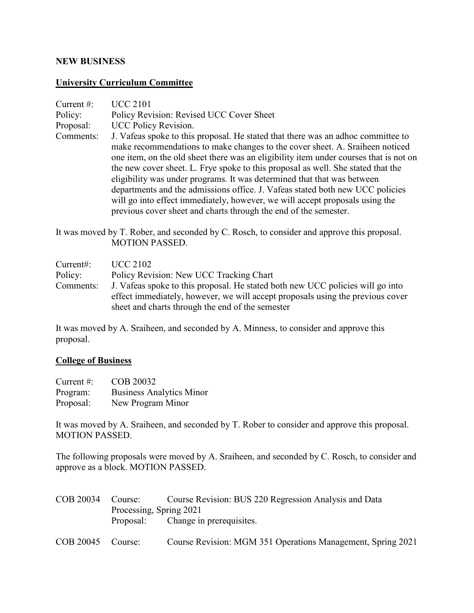### **NEW BUSINESS**

### **University Curriculum Committee**

| Current $#$ : | <b>UCC 2101</b>                                                                                                                                                                                                                                                                                                                                                                                                                                                                                                                                                                                                                                               |
|---------------|---------------------------------------------------------------------------------------------------------------------------------------------------------------------------------------------------------------------------------------------------------------------------------------------------------------------------------------------------------------------------------------------------------------------------------------------------------------------------------------------------------------------------------------------------------------------------------------------------------------------------------------------------------------|
| Policy:       | Policy Revision: Revised UCC Cover Sheet                                                                                                                                                                                                                                                                                                                                                                                                                                                                                                                                                                                                                      |
| Proposal:     | UCC Policy Revision.                                                                                                                                                                                                                                                                                                                                                                                                                                                                                                                                                                                                                                          |
| Comments:     | J. Vafeas spoke to this proposal. He stated that there was an adhoc committee to<br>make recommendations to make changes to the cover sheet. A. Sraiheen noticed<br>one item, on the old sheet there was an eligibility item under courses that is not on<br>the new cover sheet. L. Frye spoke to this proposal as well. She stated that the<br>eligibility was under programs. It was determined that that was between<br>departments and the admissions office. J. Vafeas stated both new UCC policies<br>will go into effect immediately, however, we will accept proposals using the<br>previous cover sheet and charts through the end of the semester. |

It was moved by T. Rober, and seconded by C. Rosch, to consider and approve this proposal. MOTION PASSED.

| Current:  | <b>UCC 2102</b>                                                                |
|-----------|--------------------------------------------------------------------------------|
| Policy:   | Policy Revision: New UCC Tracking Chart                                        |
| Comments: | J. Vafeas spoke to this proposal. He stated both new UCC policies will go into |
|           | effect immediately, however, we will accept proposals using the previous cover |
|           | sheet and charts through the end of the semester                               |

It was moved by A. Sraiheen, and seconded by A. Minness, to consider and approve this proposal.

#### **College of Business**

| Current $\#$ : | COB 20032                       |
|----------------|---------------------------------|
| Program:       | <b>Business Analytics Minor</b> |
| Proposal:      | New Program Minor               |

It was moved by A. Sraiheen, and seconded by T. Rober to consider and approve this proposal. MOTION PASSED.

The following proposals were moved by A. Sraiheen, and seconded by C. Rosch, to consider and approve as a block. MOTION PASSED.

|                         | COB 20034 Course: Course Revision: BUS 220 Regression Analysis and Data |
|-------------------------|-------------------------------------------------------------------------|
| Processing, Spring 2021 |                                                                         |
|                         | Proposal: Change in prerequisites.                                      |
|                         |                                                                         |

COB 20045 Course: Course Revision: MGM 351 Operations Management, Spring 2021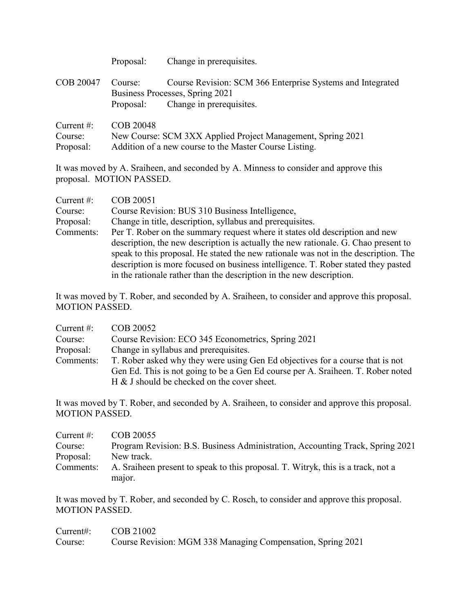|                                       | Proposal:            | Change in prerequisites.                                                                                                  |
|---------------------------------------|----------------------|---------------------------------------------------------------------------------------------------------------------------|
| COB 20047                             | Course:<br>Proposal: | Course Revision: SCM 366 Enterprise Systems and Integrated<br>Business Processes, Spring 2021<br>Change in prerequisites. |
| Current $#$ :<br>Course:<br>Proposal: | COB 20048            | New Course: SCM 3XX Applied Project Management, Spring 2021<br>Addition of a new course to the Master Course Listing.     |

It was moved by A. Sraiheen, and seconded by A. Minness to consider and approve this proposal. MOTION PASSED.

| Current $\#$ : | COB 20051                                                                           |
|----------------|-------------------------------------------------------------------------------------|
| Course:        | Course Revision: BUS 310 Business Intelligence,                                     |
| Proposal:      | Change in title, description, syllabus and prerequisites.                           |
| Comments:      | Per T. Rober on the summary request where it states old description and new         |
|                | description, the new description is actually the new rationale. G. Chao present to  |
|                | speak to this proposal. He stated the new rationale was not in the description. The |
|                | description is more focused on business intelligence. T. Rober stated they pasted   |
|                | in the rationale rather than the description in the new description.                |

It was moved by T. Rober, and seconded by A. Sraiheen, to consider and approve this proposal. MOTION PASSED.

| Current $#$ : | COB 20052                                                                                                                                                                                                       |
|---------------|-----------------------------------------------------------------------------------------------------------------------------------------------------------------------------------------------------------------|
| Course:       | Course Revision: ECO 345 Econometrics, Spring 2021                                                                                                                                                              |
| Proposal:     | Change in syllabus and prerequisites.                                                                                                                                                                           |
| Comments:     | T. Rober asked why they were using Gen Ed objectives for a course that is not<br>Gen Ed. This is not going to be a Gen Ed course per A. Sraiheen. T. Rober noted<br>H & J should be checked on the cover sheet. |

It was moved by T. Rober, and seconded by A. Sraiheen, to consider and approve this proposal. MOTION PASSED.

| Current $#$ : | COB 20055                                                                        |
|---------------|----------------------------------------------------------------------------------|
| Course:       | Program Revision: B.S. Business Administration, Accounting Track, Spring 2021    |
| Proposal:     | New track.                                                                       |
| Comments:     | A. Sraiheen present to speak to this proposal. T. Witryk, this is a track, not a |
|               | major.                                                                           |

It was moved by T. Rober, and seconded by C. Rosch, to consider and approve this proposal. MOTION PASSED.

| Current: | COB 21002                                                   |
|----------|-------------------------------------------------------------|
| Course:  | Course Revision: MGM 338 Managing Compensation, Spring 2021 |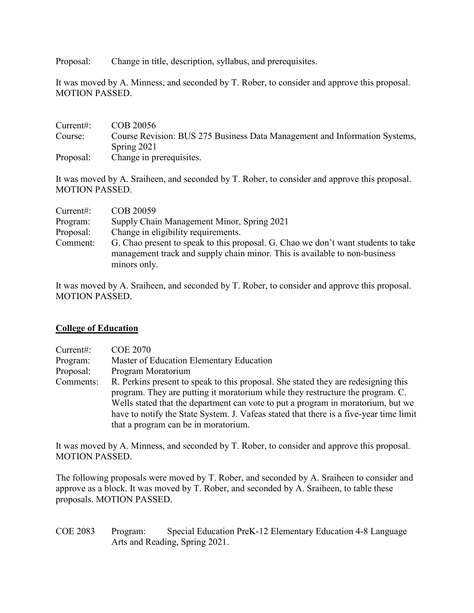Proposal: Change in title, description, syllabus, and prerequisites.

It was moved by A. Minness, and seconded by T. Rober, to consider and approve this proposal. MOTION PASSED.

| Current:  | COB 20056                                                                  |
|-----------|----------------------------------------------------------------------------|
| Course:   | Course Revision: BUS 275 Business Data Management and Information Systems, |
|           | Spring $2021$                                                              |
| Proposal: | Change in prerequisites.                                                   |

It was moved by A. Sraiheen, and seconded by T. Rober, to consider and approve this proposal. MOTION PASSED.

| Current:  | COB 20059                                                                                                                                                       |
|-----------|-----------------------------------------------------------------------------------------------------------------------------------------------------------------|
| Program:  | Supply Chain Management Minor, Spring 2021                                                                                                                      |
| Proposal: | Change in eligibility requirements.                                                                                                                             |
| Comment:  | G. Chao present to speak to this proposal. G. Chao we don't want students to take<br>management track and supply chain minor. This is available to non-business |
|           | minors only.                                                                                                                                                    |

It was moved by A. Sraiheen, and seconded by T. Rober, to consider and approve this proposal. MOTION PASSED.

### **College of Education**

| Current:  | <b>COE 2070</b>                                                                                                                                                                                                                                          |
|-----------|----------------------------------------------------------------------------------------------------------------------------------------------------------------------------------------------------------------------------------------------------------|
| Program:  | Master of Education Elementary Education                                                                                                                                                                                                                 |
| Proposal: | Program Moratorium                                                                                                                                                                                                                                       |
| Comments: | R. Perkins present to speak to this proposal. She stated they are redesigning this<br>program. They are putting it moratorium while they restructure the program. C.<br>Wells stated that the department can vote to put a program in moratorium, but we |
|           | have to notify the State System. J. Vafeas stated that there is a five-year time limit                                                                                                                                                                   |
|           | that a program can be in moratorium.                                                                                                                                                                                                                     |

It was moved by A. Minness, and seconded by T. Rober, to consider and approve this proposal. MOTION PASSED.

The following proposals were moved by T. Rober, and seconded by A. Sraiheen to consider and approve as a block. It was moved by T. Rober, and seconded by A. Sraiheen, to table these proposals. MOTION PASSED.

COE 2083 Program: Special Education PreK-12 Elementary Education 4-8 Language Arts and Reading, Spring 2021.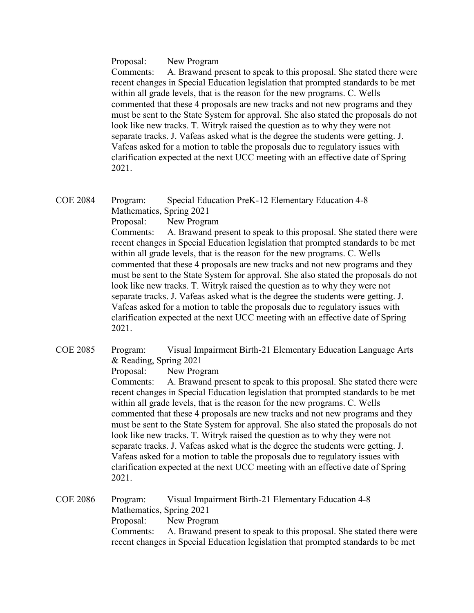Proposal: New Program

Comments: A. Brawand present to speak to this proposal. She stated there were recent changes in Special Education legislation that prompted standards to be met within all grade levels, that is the reason for the new programs. C. Wells commented that these 4 proposals are new tracks and not new programs and they must be sent to the State System for approval. She also stated the proposals do not look like new tracks. T. Witryk raised the question as to why they were not separate tracks. J. Vafeas asked what is the degree the students were getting. J. Vafeas asked for a motion to table the proposals due to regulatory issues with clarification expected at the next UCC meeting with an effective date of Spring 2021.

COE 2084 Program: Special Education PreK-12 Elementary Education 4-8 Mathematics, Spring 2021 Proposal: New Program Comments: A. Brawand present to speak to this proposal. She stated there were recent changes in Special Education legislation that prompted standards to be met within all grade levels, that is the reason for the new programs. C. Wells commented that these 4 proposals are new tracks and not new programs and they must be sent to the State System for approval. She also stated the proposals do not look like new tracks. T. Witryk raised the question as to why they were not separate tracks. J. Vafeas asked what is the degree the students were getting. J. Vafeas asked for a motion to table the proposals due to regulatory issues with clarification expected at the next UCC meeting with an effective date of Spring 2021.

COE 2085 Program: Visual Impairment Birth-21 Elementary Education Language Arts & Reading, Spring 2021

Proposal: New Program

Comments: A. Brawand present to speak to this proposal. She stated there were recent changes in Special Education legislation that prompted standards to be met within all grade levels, that is the reason for the new programs. C. Wells commented that these 4 proposals are new tracks and not new programs and they must be sent to the State System for approval. She also stated the proposals do not look like new tracks. T. Witryk raised the question as to why they were not separate tracks. J. Vafeas asked what is the degree the students were getting. J. Vafeas asked for a motion to table the proposals due to regulatory issues with clarification expected at the next UCC meeting with an effective date of Spring 2021.

COE 2086 Program: Visual Impairment Birth-21 Elementary Education 4-8 Mathematics, Spring 2021 Proposal: New Program Comments: A. Brawand present to speak to this proposal. She stated there were recent changes in Special Education legislation that prompted standards to be met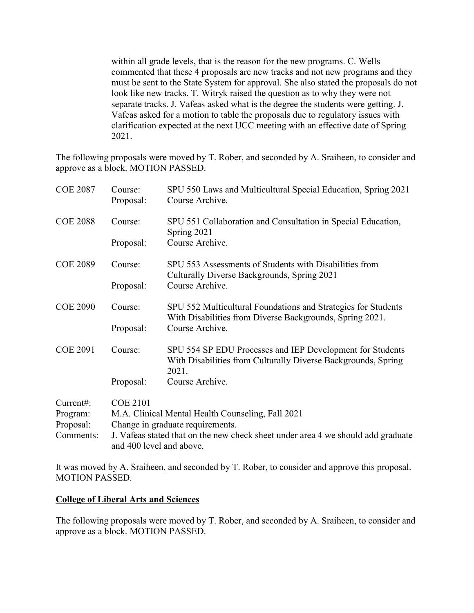within all grade levels, that is the reason for the new programs. C. Wells commented that these 4 proposals are new tracks and not new programs and they must be sent to the State System for approval. She also stated the proposals do not look like new tracks. T. Witryk raised the question as to why they were not separate tracks. J. Vafeas asked what is the degree the students were getting. J. Vafeas asked for a motion to table the proposals due to regulatory issues with clarification expected at the next UCC meeting with an effective date of Spring 2021.

The following proposals were moved by T. Rober, and seconded by A. Sraiheen, to consider and approve as a block. MOTION PASSED.

| <b>COE 2087</b> | Course:<br>Proposal:             | SPU 550 Laws and Multicultural Special Education, Spring 2021<br>Course Archive.                                                    |
|-----------------|----------------------------------|-------------------------------------------------------------------------------------------------------------------------------------|
| <b>COE 2088</b> | Course:                          | SPU 551 Collaboration and Consultation in Special Education,<br>Spring 2021                                                         |
|                 | Proposal:                        | Course Archive.                                                                                                                     |
| <b>COE 2089</b> | Course:                          | SPU 553 Assessments of Students with Disabilities from<br>Culturally Diverse Backgrounds, Spring 2021                               |
|                 | Proposal:                        | Course Archive.                                                                                                                     |
| <b>COE 2090</b> | Course:                          | SPU 552 Multicultural Foundations and Strategies for Students<br>With Disabilities from Diverse Backgrounds, Spring 2021.           |
|                 | Proposal:                        | Course Archive.                                                                                                                     |
| <b>COE 2091</b> | Course:                          | SPU 554 SP EDU Processes and IEP Development for Students<br>With Disabilities from Culturally Diverse Backgrounds, Spring<br>2021. |
|                 | Proposal:                        | Course Archive.                                                                                                                     |
| Current#:       | <b>COE 2101</b>                  |                                                                                                                                     |
| Program:        |                                  | M.A. Clinical Mental Health Counseling, Fall 2021                                                                                   |
| Proposal:       | Change in graduate requirements. |                                                                                                                                     |
| Comments:       |                                  | J. Vafeas stated that on the new check sheet under area 4 we should add graduate<br>and 400 level and above.                        |

It was moved by A. Sraiheen, and seconded by T. Rober, to consider and approve this proposal. MOTION PASSED.

#### **College of Liberal Arts and Sciences**

The following proposals were moved by T. Rober, and seconded by A. Sraiheen, to consider and approve as a block. MOTION PASSED.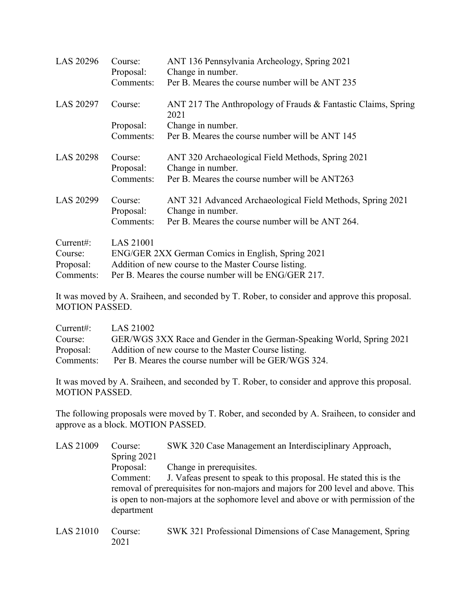| LAS 20296        | Course:<br>Proposal:<br>Comments: | ANT 136 Pennsylvania Archeology, Spring 2021<br>Change in number.<br>Per B. Meares the course number will be ANT 235 |
|------------------|-----------------------------------|----------------------------------------------------------------------------------------------------------------------|
| <b>LAS 20297</b> | Course:                           | ANT 217 The Anthropology of Frauds & Fantastic Claims, Spring<br>2021                                                |
|                  | Proposal:<br>Comments:            | Change in number.<br>Per B. Meares the course number will be ANT 145                                                 |
| <b>LAS 20298</b> | Course:<br>Proposal:              | ANT 320 Archaeological Field Methods, Spring 2021<br>Change in number.                                               |
|                  | Comments:                         | Per B. Meares the course number will be ANT263                                                                       |
| LAS 20299        | Course:<br>Proposal:              | ANT 321 Advanced Archaeological Field Methods, Spring 2021<br>Change in number.                                      |
|                  | Comments:                         | Per B. Meares the course number will be ANT 264.                                                                     |
| Current:         | <b>LAS 21001</b>                  |                                                                                                                      |
| Course:          |                                   | ENG/GER 2XX German Comics in English, Spring 2021                                                                    |
| Proposal:        |                                   | Addition of new course to the Master Course listing.                                                                 |
| Comments:        |                                   | Per B. Meares the course number will be ENG/GER 217.                                                                 |

It was moved by A. Sraiheen, and seconded by T. Rober, to consider and approve this proposal. MOTION PASSED.

| Current:  | LAS 21002                                                             |
|-----------|-----------------------------------------------------------------------|
| Course:   | GER/WGS 3XX Race and Gender in the German-Speaking World, Spring 2021 |
| Proposal: | Addition of new course to the Master Course listing.                  |
| Comments: | Per B. Meares the course number will be GER/WGS 324.                  |

It was moved by A. Sraiheen, and seconded by T. Rober, to consider and approve this proposal. MOTION PASSED.

The following proposals were moved by T. Rober, and seconded by A. Sraiheen, to consider and approve as a block. MOTION PASSED.

| LAS 21009 | Course:                                                                          | SWK 320 Case Management an Interdisciplinary Approach,                           |
|-----------|----------------------------------------------------------------------------------|----------------------------------------------------------------------------------|
|           | Spring 2021                                                                      |                                                                                  |
|           | Proposal:                                                                        | Change in prerequisites.                                                         |
|           | Comment:                                                                         | J. Vafeas present to speak to this proposal. He stated this is the               |
|           |                                                                                  | removal of prerequisites for non-majors and majors for 200 level and above. This |
|           | is open to non-majors at the sophomore level and above or with permission of the |                                                                                  |
|           | department                                                                       |                                                                                  |
|           |                                                                                  |                                                                                  |

LAS 21010 Course: SWK 321 Professional Dimensions of Case Management, Spring 2021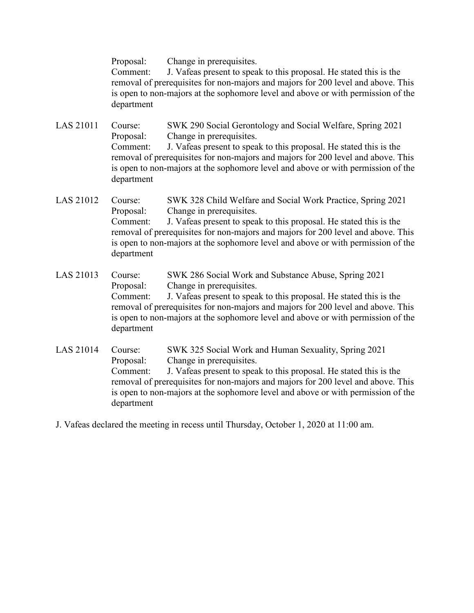Proposal: Change in prerequisites.

Comment: J. Vafeas present to speak to this proposal. He stated this is the removal of prerequisites for non-majors and majors for 200 level and above. This is open to non-majors at the sophomore level and above or with permission of the department

- LAS 21011 Course: SWK 290 Social Gerontology and Social Welfare, Spring 2021 Proposal: Change in prerequisites. Comment: J. Vafeas present to speak to this proposal. He stated this is the removal of prerequisites for non-majors and majors for 200 level and above. This is open to non-majors at the sophomore level and above or with permission of the department
- LAS 21012 Course: SWK 328 Child Welfare and Social Work Practice, Spring 2021 Proposal: Change in prerequisites. Comment: J. Vafeas present to speak to this proposal. He stated this is the removal of prerequisites for non-majors and majors for 200 level and above. This is open to non-majors at the sophomore level and above or with permission of the department
- LAS 21013 Course: SWK 286 Social Work and Substance Abuse, Spring 2021 Proposal: Change in prerequisites. Comment: J. Vafeas present to speak to this proposal. He stated this is the removal of prerequisites for non-majors and majors for 200 level and above. This is open to non-majors at the sophomore level and above or with permission of the department
- LAS 21014 Course: SWK 325 Social Work and Human Sexuality, Spring 2021 Proposal: Change in prerequisites. Comment: J. Vafeas present to speak to this proposal. He stated this is the removal of prerequisites for non-majors and majors for 200 level and above. This is open to non-majors at the sophomore level and above or with permission of the department
- J. Vafeas declared the meeting in recess until Thursday, October 1, 2020 at 11:00 am.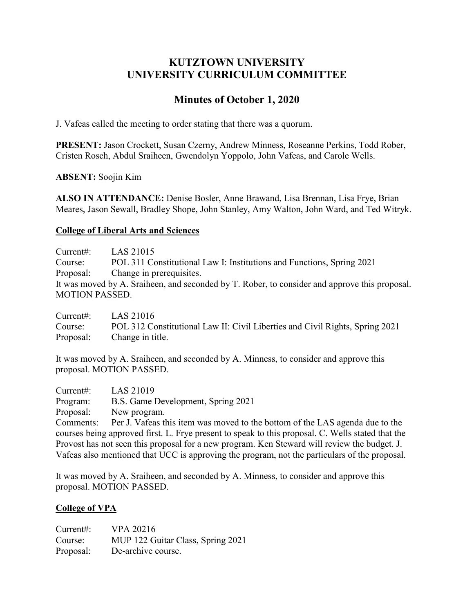# **KUTZTOWN UNIVERSITY UNIVERSITY CURRICULUM COMMITTEE**

# **Minutes of October 1, 2020**

J. Vafeas called the meeting to order stating that there was a quorum.

**PRESENT:** Jason Crockett, Susan Czerny, Andrew Minness, Roseanne Perkins, Todd Rober, Cristen Rosch, Abdul Sraiheen, Gwendolyn Yoppolo, John Vafeas, and Carole Wells.

**ABSENT:** Soojin Kim

**ALSO IN ATTENDANCE:** Denise Bosler, Anne Brawand, Lisa Brennan, Lisa Frye, Brian Meares, Jason Sewall, Bradley Shope, John Stanley, Amy Walton, John Ward, and Ted Witryk.

## **College of Liberal Arts and Sciences**

Current#: LAS 21015 Course: POL 311 Constitutional Law I: Institutions and Functions, Spring 2021 Proposal: Change in prerequisites. It was moved by A. Sraiheen, and seconded by T. Rober, to consider and approve this proposal. MOTION PASSED.

Current#: LAS 21016 Course: POL 312 Constitutional Law II: Civil Liberties and Civil Rights, Spring 2021 Proposal: Change in title.

It was moved by A. Sraiheen, and seconded by A. Minness, to consider and approve this proposal. MOTION PASSED.

Current#: LAS 21019 Program: B.S. Game Development, Spring 2021 Proposal: New program. Comments: Per J. Vafeas this item was moved to the bottom of the LAS agenda due to the courses being approved first. L. Frye present to speak to this proposal. C. Wells stated that the Provost has not seen this proposal for a new program. Ken Steward will review the budget. J. Vafeas also mentioned that UCC is approving the program, not the particulars of the proposal.

It was moved by A. Sraiheen, and seconded by A. Minness, to consider and approve this proposal. MOTION PASSED.

## **College of VPA**

Current#: VPA 20216 Course: MUP 122 Guitar Class, Spring 2021 Proposal: De-archive course.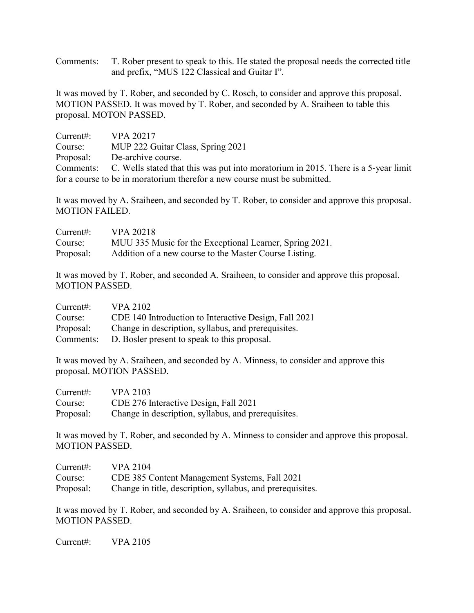Comments: T. Rober present to speak to this. He stated the proposal needs the corrected title and prefix, "MUS 122 Classical and Guitar I".

It was moved by T. Rober, and seconded by C. Rosch, to consider and approve this proposal. MOTION PASSED. It was moved by T. Rober, and seconded by A. Sraiheen to table this proposal. MOTON PASSED.

| Current:  | VPA 20217                                                                                    |
|-----------|----------------------------------------------------------------------------------------------|
| Course:   | MUP 222 Guitar Class, Spring 2021                                                            |
| Proposal: | De-archive course.                                                                           |
|           | Comments: C. Wells stated that this was put into moratorium in 2015. There is a 5-year limit |
|           | for a course to be in moratorium therefor a new course must be submitted.                    |

It was moved by A. Sraiheen, and seconded by T. Rober, to consider and approve this proposal. MOTION FAILED.

| Current:  | <b>VPA 20218</b>                                        |
|-----------|---------------------------------------------------------|
| Course:   | MUU 335 Music for the Exceptional Learner, Spring 2021. |
| Proposal: | Addition of a new course to the Master Course Listing.  |

It was moved by T. Rober, and seconded A. Sraiheen, to consider and approve this proposal. MOTION PASSED.

| Current:  | <b>VPA 2102</b>                                       |
|-----------|-------------------------------------------------------|
| Course:   | CDE 140 Introduction to Interactive Design, Fall 2021 |
| Proposal: | Change in description, syllabus, and prerequisites.   |
| Comments: | D. Bosler present to speak to this proposal.          |

It was moved by A. Sraiheen, and seconded by A. Minness, to consider and approve this proposal. MOTION PASSED.

| Current:  | <b>VPA 2103</b>                                     |
|-----------|-----------------------------------------------------|
| Course:   | CDE 276 Interactive Design, Fall 2021               |
| Proposal: | Change in description, syllabus, and prerequisites. |

It was moved by T. Rober, and seconded by A. Minness to consider and approve this proposal. MOTION PASSED.

| Current:  | <b>VPA 2104</b>                                            |
|-----------|------------------------------------------------------------|
| Course:   | CDE 385 Content Management Systems, Fall 2021              |
| Proposal: | Change in title, description, syllabus, and prerequisites. |

It was moved by T. Rober, and seconded by A. Sraiheen, to consider and approve this proposal. MOTION PASSED.

Current#: VPA 2105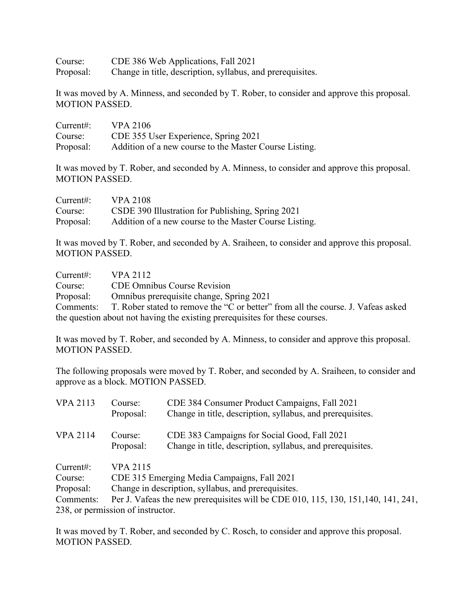Course: CDE 386 Web Applications, Fall 2021 Proposal: Change in title, description, syllabus, and prerequisites.

It was moved by A. Minness, and seconded by T. Rober, to consider and approve this proposal. MOTION PASSED.

| Current:  | <b>VPA 2106</b>                                        |
|-----------|--------------------------------------------------------|
| Course:   | CDE 355 User Experience, Spring 2021                   |
| Proposal: | Addition of a new course to the Master Course Listing. |

It was moved by T. Rober, and seconded by A. Minness, to consider and approve this proposal. MOTION PASSED.

| Current:  | <b>VPA 2108</b>                                        |
|-----------|--------------------------------------------------------|
| Course:   | CSDE 390 Illustration for Publishing, Spring 2021      |
| Proposal: | Addition of a new course to the Master Course Listing. |

It was moved by T. Rober, and seconded by A. Sraiheen, to consider and approve this proposal. MOTION PASSED.

| Current:                                                                    | VPA 2112                                                                                   |  |
|-----------------------------------------------------------------------------|--------------------------------------------------------------------------------------------|--|
| Course:                                                                     | <b>CDE Omnibus Course Revision</b>                                                         |  |
| Proposal:                                                                   | Omnibus prerequisite change, Spring 2021                                                   |  |
|                                                                             | Comments: T. Rober stated to remove the "C or better" from all the course. J. Vafeas asked |  |
| the question about not having the existing prerequisites for these courses. |                                                                                            |  |

It was moved by T. Rober, and seconded by A. Minness, to consider and approve this proposal. MOTION PASSED.

The following proposals were moved by T. Rober, and seconded by A. Sraiheen, to consider and approve as a block. MOTION PASSED.

| <b>VPA 2113</b>                   | Course:<br>Proposal:                                                               | CDE 384 Consumer Product Campaigns, Fall 2021<br>Change in title, description, syllabus, and prerequisites. |  |
|-----------------------------------|------------------------------------------------------------------------------------|-------------------------------------------------------------------------------------------------------------|--|
| <b>VPA 2114</b>                   | Course:<br>Proposal:                                                               | CDE 383 Campaigns for Social Good, Fall 2021<br>Change in title, description, syllabus, and prerequisites.  |  |
| Current:                          | <b>VPA 2115</b>                                                                    |                                                                                                             |  |
| Course:                           | CDE 315 Emerging Media Campaigns, Fall 2021                                        |                                                                                                             |  |
| Proposal:                         | Change in description, syllabus, and prerequisites.                                |                                                                                                             |  |
| Comments:                         | Per J. Vafeas the new prerequisites will be CDE 010, 115, 130, 151, 140, 141, 241, |                                                                                                             |  |
| 238, or permission of instructor. |                                                                                    |                                                                                                             |  |

It was moved by T. Rober, and seconded by C. Rosch, to consider and approve this proposal. MOTION PASSED.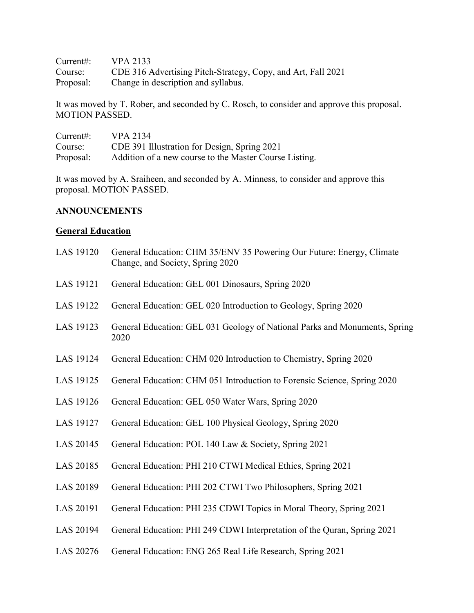| Current#: | VPA 2133                                                     |
|-----------|--------------------------------------------------------------|
| Course:   | CDE 316 Advertising Pitch-Strategy, Copy, and Art, Fall 2021 |
| Proposal: | Change in description and syllabus.                          |

It was moved by T. Rober, and seconded by C. Rosch, to consider and approve this proposal. MOTION PASSED.

| Current:  | <b>VPA 2134</b>                                        |
|-----------|--------------------------------------------------------|
| Course:   | CDE 391 Illustration for Design, Spring 2021           |
| Proposal: | Addition of a new course to the Master Course Listing. |

It was moved by A. Sraiheen, and seconded by A. Minness, to consider and approve this proposal. MOTION PASSED.

### **ANNOUNCEMENTS**

## **General Education**

| LAS 19120 | General Education: CHM 35/ENV 35 Powering Our Future: Energy, Climate<br>Change, and Society, Spring 2020 |
|-----------|-----------------------------------------------------------------------------------------------------------|
| LAS 19121 | General Education: GEL 001 Dinosaurs, Spring 2020                                                         |
| LAS 19122 | General Education: GEL 020 Introduction to Geology, Spring 2020                                           |
| LAS 19123 | General Education: GEL 031 Geology of National Parks and Monuments, Spring<br>2020                        |
| LAS 19124 | General Education: CHM 020 Introduction to Chemistry, Spring 2020                                         |
| LAS 19125 | General Education: CHM 051 Introduction to Forensic Science, Spring 2020                                  |
| LAS 19126 | General Education: GEL 050 Water Wars, Spring 2020                                                        |
| LAS 19127 | General Education: GEL 100 Physical Geology, Spring 2020                                                  |
| LAS 20145 | General Education: POL 140 Law & Society, Spring 2021                                                     |
| LAS 20185 | General Education: PHI 210 CTWI Medical Ethics, Spring 2021                                               |
| LAS 20189 | General Education: PHI 202 CTWI Two Philosophers, Spring 2021                                             |
| LAS 20191 | General Education: PHI 235 CDWI Topics in Moral Theory, Spring 2021                                       |
| LAS 20194 | General Education: PHI 249 CDWI Interpretation of the Quran, Spring 2021                                  |

LAS 20276 General Education: ENG 265 Real Life Research, Spring 2021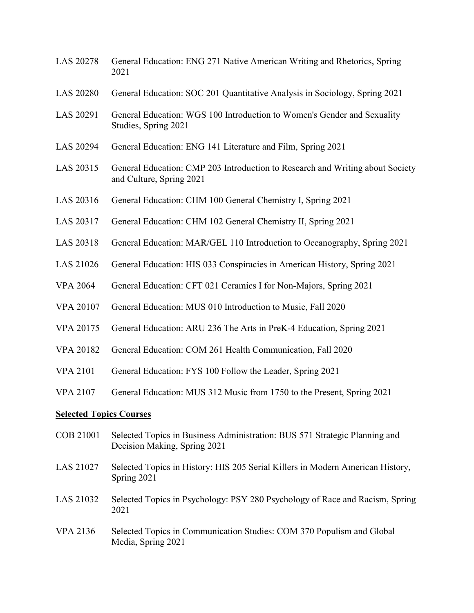- LAS 20278 General Education: ENG 271 Native American Writing and Rhetorics, Spring 2021
- LAS 20280 General Education: SOC 201 Quantitative Analysis in Sociology, Spring 2021
- LAS 20291 General Education: WGS 100 Introduction to Women's Gender and Sexuality Studies, Spring 2021
- LAS 20294 General Education: ENG 141 Literature and Film, Spring 2021
- LAS 20315 General Education: CMP 203 Introduction to Research and Writing about Society and Culture, Spring 2021
- LAS 20316 General Education: CHM 100 General Chemistry I, Spring 2021
- LAS 20317 General Education: CHM 102 General Chemistry II, Spring 2021
- LAS 20318 General Education: MAR/GEL 110 Introduction to Oceanography, Spring 2021
- LAS 21026 General Education: HIS 033 Conspiracies in American History, Spring 2021
- VPA 2064 General Education: CFT 021 Ceramics I for Non-Majors, Spring 2021
- VPA 20107 General Education: MUS 010 Introduction to Music, Fall 2020
- VPA 20175 General Education: ARU 236 The Arts in PreK-4 Education, Spring 2021
- VPA 20182 General Education: COM 261 Health Communication, Fall 2020
- VPA 2101 General Education: FYS 100 Follow the Leader, Spring 2021
- VPA 2107 General Education: MUS 312 Music from 1750 to the Present, Spring 2021

#### **Selected Topics Courses**

- COB 21001 Selected Topics in Business Administration: BUS 571 Strategic Planning and Decision Making, Spring 2021
- LAS 21027 Selected Topics in History: HIS 205 Serial Killers in Modern American History, Spring 2021
- LAS 21032 Selected Topics in Psychology: PSY 280 Psychology of Race and Racism, Spring 2021
- VPA 2136 Selected Topics in Communication Studies: COM 370 Populism and Global Media, Spring 2021